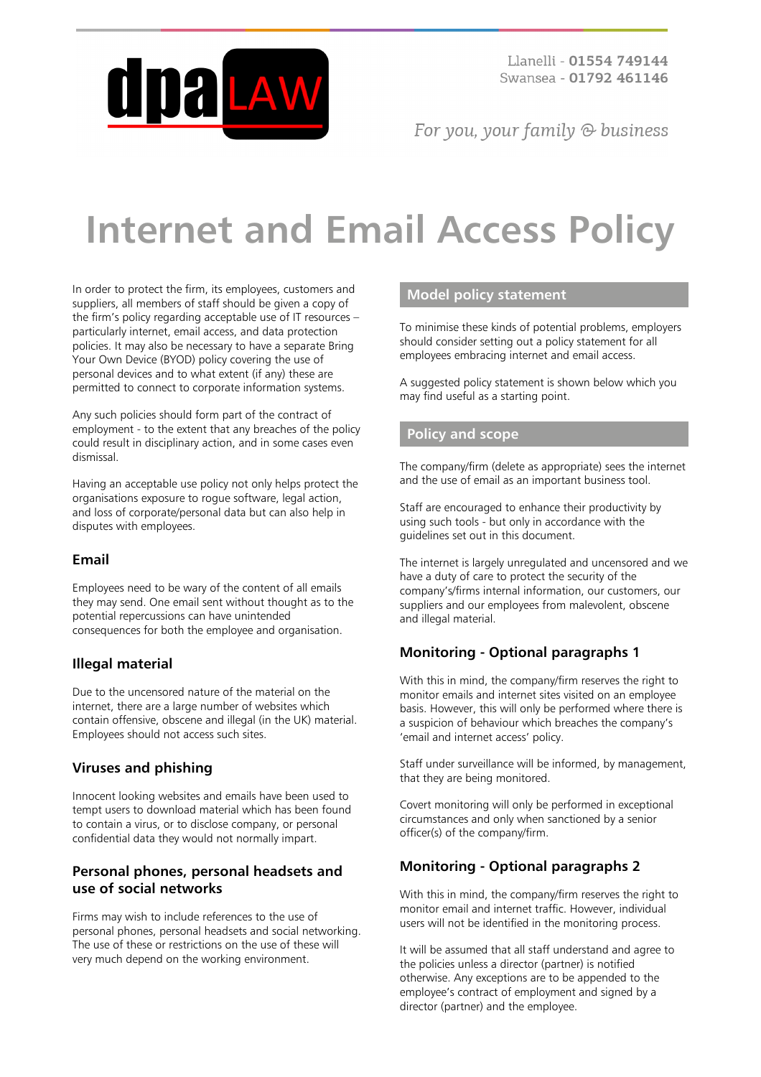

Llanelli - 01554 749144 Swansea - 01792 461146

For you, your family  $\odot$  business

# **Internet and Email Access Policy**

In order to protect the firm, its employees, customers and suppliers, all members of staff should be given a copy of the firm's policy regarding acceptable use of IT resources – particularly internet, email access, and data protection policies. It may also be necessary to have a separate Bring Your Own Device (BYOD) policy covering the use of personal devices and to what extent (if any) these are permitted to connect to corporate information systems.

Any such policies should form part of the contract of employment - to the extent that any breaches of the policy could result in disciplinary action, and in some cases even dismissal.

Having an acceptable use policy not only helps protect the organisations exposure to rogue software, legal action, and loss of corporate/personal data but can also help in disputes with employees.

## **Email**

Employees need to be wary of the content of all emails they may send. One email sent without thought as to the potential repercussions can have unintended consequences for both the employee and organisation.

# **Illegal material**

Due to the uncensored nature of the material on the internet, there are a large number of websites which contain offensive, obscene and illegal (in the UK) material. Employees should not access such sites.

## **Viruses and phishing**

Innocent looking websites and emails have been used to tempt users to download material which has been found to contain a virus, or to disclose company, or personal confidential data they would not normally impart.

## **Personal phones, personal headsets and use of social networks**

Firms may wish to include references to the use of personal phones, personal headsets and social networking. The use of these or restrictions on the use of these will very much depend on the working environment.

#### **Model policy statement**

To minimise these kinds of potential problems, employers should consider setting out a policy statement for all employees embracing internet and email access.

A suggested policy statement is shown below which you may find useful as a starting point.

#### **Policy and scope**

The company/firm (delete as appropriate) sees the internet and the use of email as an important business tool.

Staff are encouraged to enhance their productivity by using such tools - but only in accordance with the guidelines set out in this document.

The internet is largely unregulated and uncensored and we have a duty of care to protect the security of the company's/firms internal information, our customers, our suppliers and our employees from malevolent, obscene and illegal material.

## **Monitoring - Optional paragraphs 1**

With this in mind, the company/firm reserves the right to monitor emails and internet sites visited on an employee basis. However, this will only be performed where there is a suspicion of behaviour which breaches the company's 'email and internet access' policy.

Staff under surveillance will be informed, by management, that they are being monitored.

Covert monitoring will only be performed in exceptional circumstances and only when sanctioned by a senior officer(s) of the company/firm.

# **Monitoring - Optional paragraphs 2**

With this in mind, the company/firm reserves the right to monitor email and internet traffic. However, individual users will not be identified in the monitoring process.

It will be assumed that all staff understand and agree to the policies unless a director (partner) is notified otherwise. Any exceptions are to be appended to the employee's contract of employment and signed by a director (partner) and the employee.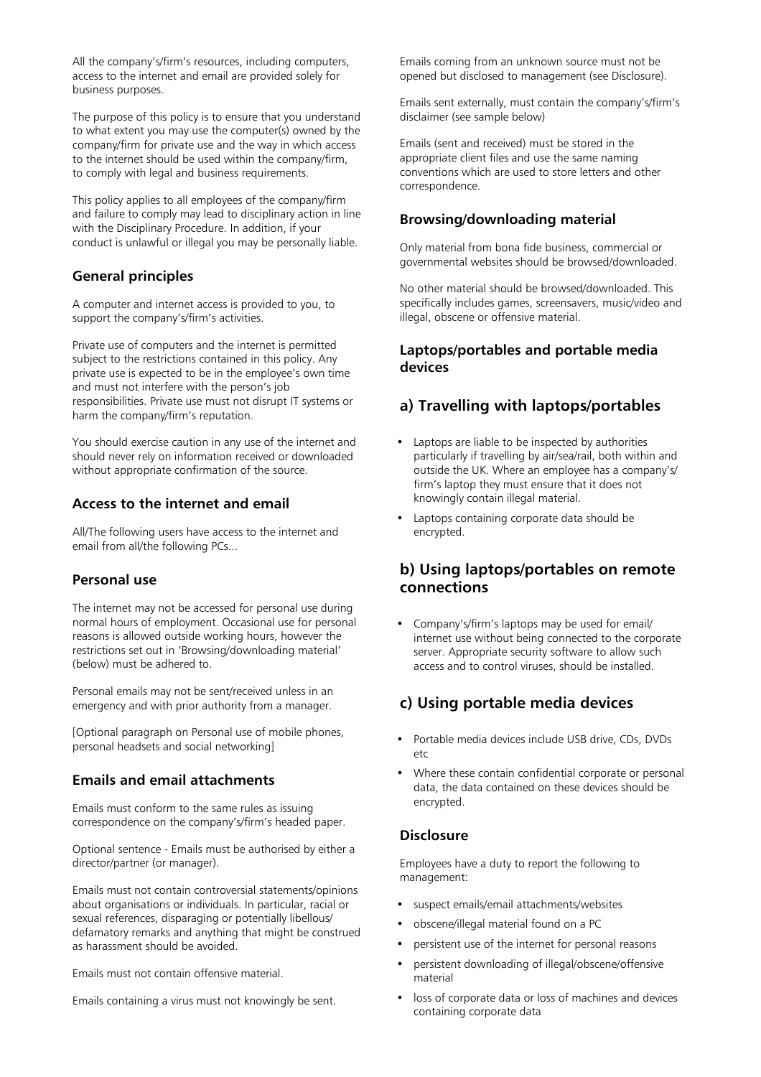All the company's/firm's resources, including computers, access to the internet and email are provided solely for business purposes.

The purpose of this policy is to ensure that you understand to what extent you may use the computer(s) owned by the company/firm for private use and the way in which access to the internet should be used within the company/firm, to comply with legal and business requirements.

This policy applies to all employees of the company/firm and failure to comply may lead to disciplinary action in line with the Disciplinary Procedure. In addition, if your conduct is unlawful or illegal you may be personally liable.

#### **General principles**

A computer and internet access is provided to you, to support the company's/firm's activities.

Private use of computers and the internet is permitted subject to the restrictions contained in this policy. Any private use is expected to be in the employee's own time and must not interfere with the person's job responsibilities. Private use must not disrupt IT systems or harm the company/firm's reputation.

You should exercise caution in any use of the internet and should never rely on information received or downloaded without appropriate confirmation of the source.

#### **Access to the internet and email**

All/The following users have access to the internet and email from all/the following PCs...

#### **Personal use**

The internet may not be accessed for personal use during normal hours of employment. Occasional use for personal reasons is allowed outside working hours, however the restrictions set out in 'Browsing/downloading material' (below) must be adhered to.

Personal emails may not be sent/received unless in an emergency and with prior authority from a manager.

[Optional paragraph on Personal use of mobile phones, personal headsets and social networking]

#### **Emails and email attachments**

Emails must conform to the same rules as issuing correspondence on the company's/firm's headed paper.

Optional sentence - Emails must be authorised by either a director/partner (or manager).

Emails must not contain controversial statements/opinions about organisations or individuals. In particular, racial or sexual references, disparaging or potentially libellous/ defamatory remarks and anything that might be construed as harassment should be avoided.

Emails must not contain offensive material.

Emails containing a virus must not knowingly be sent.

Emails coming from an unknown source must not be opened but disclosed to management (see Disclosure).

Emails sent externally, must contain the company's/firm's disclaimer (see sample below)

Emails (sent and received) must be stored in the appropriate client files and use the same naming conventions which are used to store letters and other correspondence.

#### **Browsing/downloading material**

Only material from bona fide business, commercial or governmental websites should be browsed/downloaded.

No other material should be browsed/downloaded. This specifically includes games, screensavers, music/video and illegal, obscene or offensive material.

#### **Laptops/portables and portable media devices**

# **a) Travelling with laptops/portables**

- Laptops are liable to be inspected by authorities particularly if travelling by air/sea/rail, both within and outside the UK. Where an employee has a company's/ firm's laptop they must ensure that it does not knowingly contain illegal material.
- Laptops containing corporate data should be encrypted.

# **b) Using laptops/portables on remote connections**

• Company's/firm's laptops may be used for email/ internet use without being connected to the corporate server. Appropriate security software to allow such access and to control viruses, should be installed.

# **c) Using portable media devices**

- Portable media devices include USB drive, CDs, DVDs etc
- Where these contain confidential corporate or personal data, the data contained on these devices should be encrypted.

## **Disclosure**

Employees have a duty to report the following to management:

- suspect emails/email attachments/websites
- obscene/illegal material found on a PC
- persistent use of the internet for personal reasons
- persistent downloading of illegal/obscene/offensive material
- loss of corporate data or loss of machines and devices containing corporate data